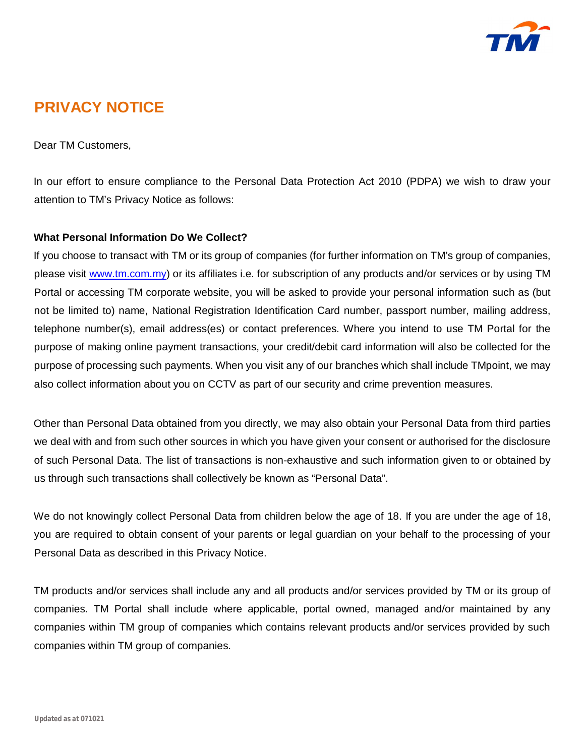

# **PRIVACY NOTICE**

Dear TM Customers,

In our effort to ensure compliance to the Personal Data Protection Act 2010 (PDPA) we wish to draw your attention to TM's Privacy Notice as follows:

## **What Personal Information Do We Collect?**

If you choose to transact with TM or its group of companies (for further information on TM's group of companies, please visit [www.tm.com.my\)](http://www.tm.com.my)) or its affiliates i.e. for subscription of any products and/or services or by using TM Portal or accessing TM corporate website, you will be asked to provide your personal information such as (but not be limited to) name, National Registration Identification Card number, passport number, mailing address, telephone number(s), email address(es) or contact preferences. Where you intend to use TM Portal for the purpose of making online payment transactions, your credit/debit card information will also be collected for the purpose of processing such payments. When you visit any of our branches which shall include TMpoint, we may also collect information about you on CCTV as part of our security and crime prevention measures.

Other than Personal Data obtained from you directly, we may also obtain your Personal Data from third parties we deal with and from such other sources in which you have given your consent or authorised for the disclosure of such Personal Data. The list of transactions is non-exhaustive and such information given to or obtained by us through such transactions shall collectively be known as "Personal Data".

We do not knowingly collect Personal Data from children below the age of 18. If you are under the age of 18, you are required to obtain consent of your parents or legal guardian on your behalf to the processing of your Personal Data as described in this Privacy Notice.

TM products and/or services shall include any and all products and/or services provided by TM or its group of companies. TM Portal shall include where applicable, portal owned, managed and/or maintained by any companies within TM group of companies which contains relevant products and/or services provided by such companies within TM group of companies.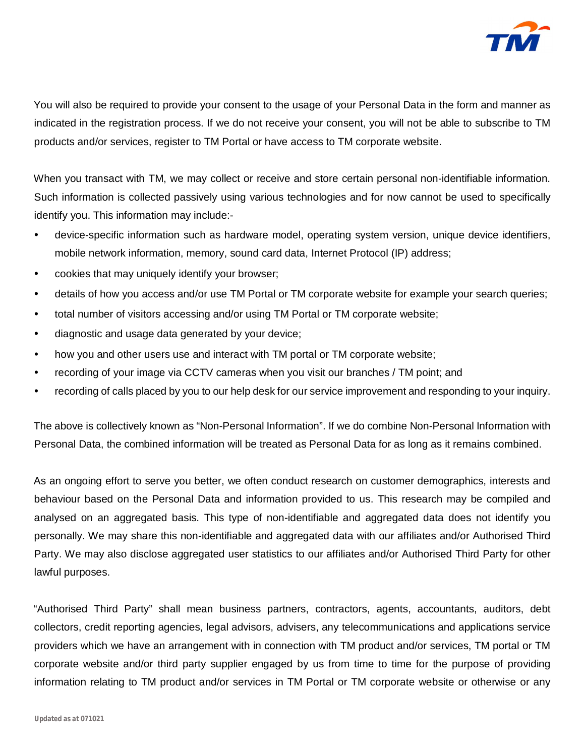

You will also be required to provide your consent to the usage of your Personal Data in the form and manner as indicated in the registration process. If we do not receive your consent, you will not be able to subscribe to TM products and/or services, register to TM Portal or have access to TM corporate website.

When you transact with TM, we may collect or receive and store certain personal non-identifiable information. Such information is collected passively using various technologies and for now cannot be used to specifically identify you. This information may include:-

- device-specific information such as hardware model, operating system version, unique device identifiers, mobile network information, memory, sound card data, Internet Protocol (IP) address;
- cookies that may uniquely identify your browser;
- details of how you access and/or use TM Portal or TM corporate website for example your search queries;
- total number of visitors accessing and/or using TM Portal or TM corporate website;
- diagnostic and usage data generated by your device;
- how you and other users use and interact with TM portal or TM corporate website;
- recording of your image via CCTV cameras when you visit our branches / TM point; and
- recording of calls placed by you to our help desk for our service improvement and responding to your inquiry.

The above is collectively known as "Non-Personal Information". If we do combine Non-Personal Information with Personal Data, the combined information will be treated as Personal Data for as long as it remains combined.

As an ongoing effort to serve you better, we often conduct research on customer demographics, interests and behaviour based on the Personal Data and information provided to us. This research may be compiled and analysed on an aggregated basis. This type of non-identifiable and aggregated data does not identify you personally. We may share this non-identifiable and aggregated data with our affiliates and/or Authorised Third Party. We may also disclose aggregated user statistics to our affiliates and/or Authorised Third Party for other lawful purposes.

"Authorised Third Party" shall mean business partners, contractors, agents, accountants, auditors, debt collectors, credit reporting agencies, legal advisors, advisers, any telecommunications and applications service providers which we have an arrangement with in connection with TM product and/or services, TM portal or TM corporate website and/or third party supplier engaged by us from time to time for the purpose of providing information relating to TM product and/or services in TM Portal or TM corporate website or otherwise or any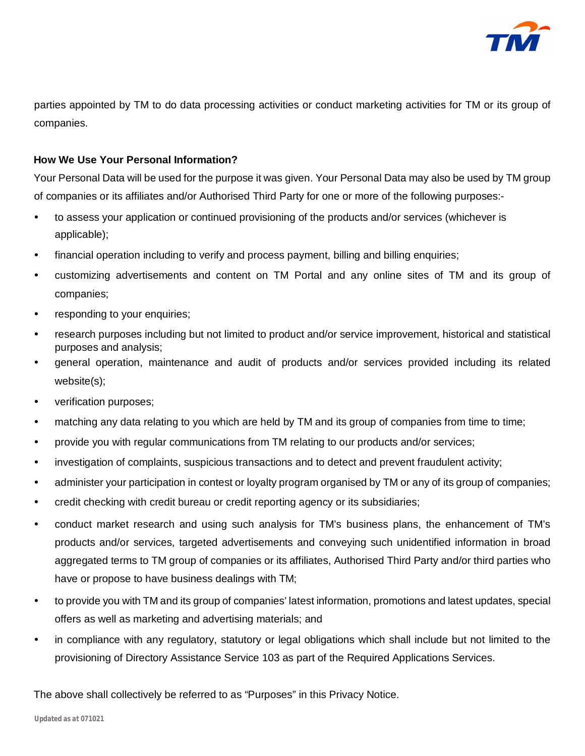

parties appointed by TM to do data processing activities or conduct marketing activities for TM or its group of companies.

## **How We Use Your Personal Information?**

Your Personal Data will be used for the purpose it was given. Your Personal Data may also be used by TM group of companies or its affiliates and/or Authorised Third Party for one or more of the following purposes:-

- to assess your application or continued provisioning of the products and/or services (whichever is applicable);
- financial operation including to verify and process payment, billing and billing enquiries;
- customizing advertisements and content on TM Portal and any online sites of TM and its group of companies;
- responding to your enquiries;
- research purposes including but not limited to product and/or service improvement, historical and statistical purposes and analysis;
- general operation, maintenance and audit of products and/or services provided including its related website(s);
- verification purposes;
- matching any data relating to you which are held by TM and its group of companies from time to time;
- provide you with regular communications from TM relating to our products and/or services;
- investigation of complaints, suspicious transactions and to detect and prevent fraudulent activity;
- administer your participation in contest or loyalty program organised by TM or any of its group of companies;
- credit checking with credit bureau or credit reporting agency or its subsidiaries;
- conduct market research and using such analysis for TM's business plans, the enhancement of TM's products and/or services, targeted advertisements and conveying such unidentified information in broad aggregated terms to TM group of companies or its affiliates, Authorised Third Party and/or third parties who have or propose to have business dealings with TM;
- to provide you with TM and its group of companies' latest information, promotions and latest updates, special offers as well as marketing and advertising materials; and
- in compliance with any regulatory, statutory or legal obligations which shall include but not limited to the provisioning of Directory Assistance Service 103 as part of the Required Applications Services.

The above shall collectively be referred to as "Purposes" in this Privacy Notice.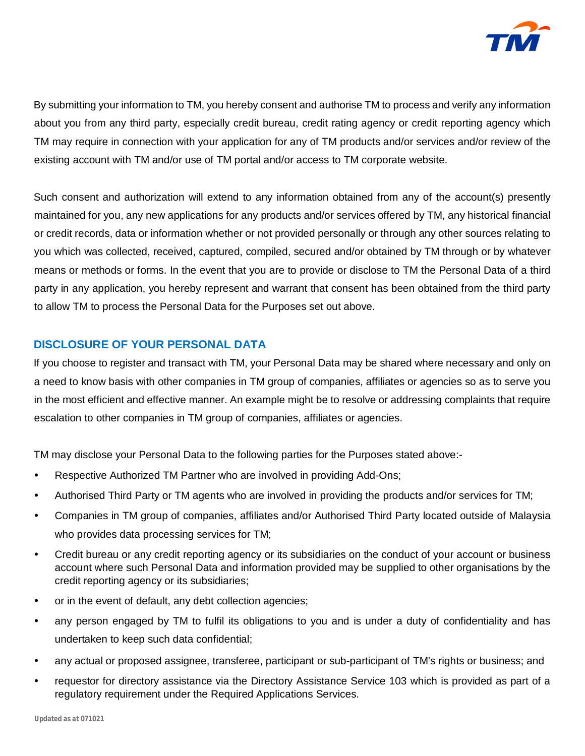

By submitting your information to TM, you hereby consent and authorise TM to process and verify any information about you from any third party, especially credit bureau, credit rating agency or credit reporting agency which TM may require in connection with your application for any of TM products and/or services and/or review of the existing account with TM and/or use of TM portal and/or access to TM corporate website.

Such consent and authorization will extend to any information obtained from any of the account(s) presently maintained for you, any new applications for any products and/or services offered by TM, any historical financial or credit records, data or information whether or not provided personally or through any other sources relating to you which was collected, received, captured, compiled, secured and/or obtained by TM through or by whatever means or methods or forms. In the event that you are to provide or disclose to TM the Personal Data of a third party in any application, you hereby represent and warrant that consent has been obtained from the third party to allow TM to process the Personal Data for the Purposes set out above.

## **DISCLOSURE OF YOUR PERSONAL DATA**

If you choose to register and transact with TM, your Personal Data may be shared where necessary and only on a need to know basis with other companies in TM group of companies, affiliates or agencies so as to serve you in the most efficient and effective manner. An example might be to resolve or addressing complaints that require escalation to other companies in TM group of companies, affiliates or agencies.

TM may disclose your Personal Data to the following parties for the Purposes stated above:-

- Respective Authorized TM Partner who are involved in providing Add-Ons;
- Authorised Third Party or TM agents who are involved in providing the products and/or services for TM;
- Companies in TM group of companies, affiliates and/or Authorised Third Party located outside of Malaysia who provides data processing services for TM;
- Credit bureau or any credit reporting agency or its subsidiaries on the conduct of your account or business account where such Personal Data and information provided may be supplied to other organisations by the credit reporting agency or its subsidiaries;
- or in the event of default, any debt collection agencies;
- any person engaged by TM to fulfil its obligations to you and is under a duty of confidentiality and has undertaken to keep such data confidential;
- any actual or proposed assignee, transferee, participant or sub-participant of TM's rights or business; and
- requestor for directory assistance via the Directory Assistance Service 103 which is provided as part of a regulatory requirement under the Required Applications Services.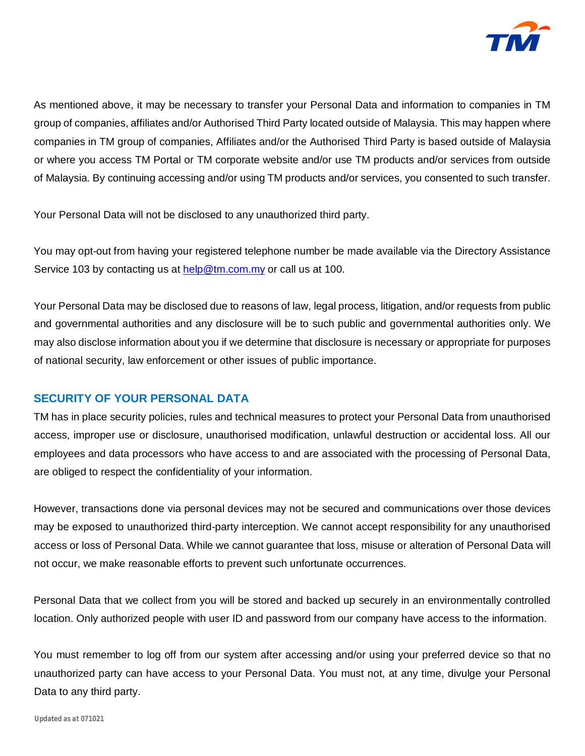

As mentioned above, it may be necessary to transfer your Personal Data and information to companies in TM group of companies, affiliates and/or Authorised Third Party located outside of Malaysia. This may happen where companies in TM group of companies, Affiliates and/or the Authorised Third Party is based outside of Malaysia or where you access TM Portal or TM corporate website and/or use TM products and/or services from outside of Malaysia. By continuing accessing and/or using TM products and/or services, you consented to such transfer.

Your Personal Data will not be disclosed to any unauthorized third party.

You may opt-out from having your registered telephone number be made available via the Directory Assistance Service 103 by contacting us at [help@tm.com.my](mailto:help@tm.com.my) or call us at 100.

Your Personal Data may be disclosed due to reasons of law, legal process, litigation, and/or requests from public and governmental authorities and any disclosure will be to such public and governmental authorities only. We may also disclose information about you if we determine that disclosure is necessary or appropriate for purposes of national security, law enforcement or other issues of public importance.

# **SECURITY OF YOUR PERSONAL DATA**

TM has in place security policies, rules and technical measures to protect your Personal Data from unauthorised access, improper use or disclosure, unauthorised modification, unlawful destruction or accidental loss. All our employees and data processors who have access to and are associated with the processing of Personal Data, are obliged to respect the confidentiality of your information.

However, transactions done via personal devices may not be secured and communications over those devices may be exposed to unauthorized third-party interception. We cannot accept responsibility for any unauthorised access or loss of Personal Data. While we cannot guarantee that loss, misuse or alteration of Personal Data will not occur, we make reasonable efforts to prevent such unfortunate occurrences.

Personal Data that we collect from you will be stored and backed up securely in an environmentally controlled location. Only authorized people with user ID and password from our company have access to the information.

You must remember to log off from our system after accessing and/or using your preferred device so that no unauthorized party can have access to your Personal Data. You must not, at any time, divulge your Personal Data to any third party.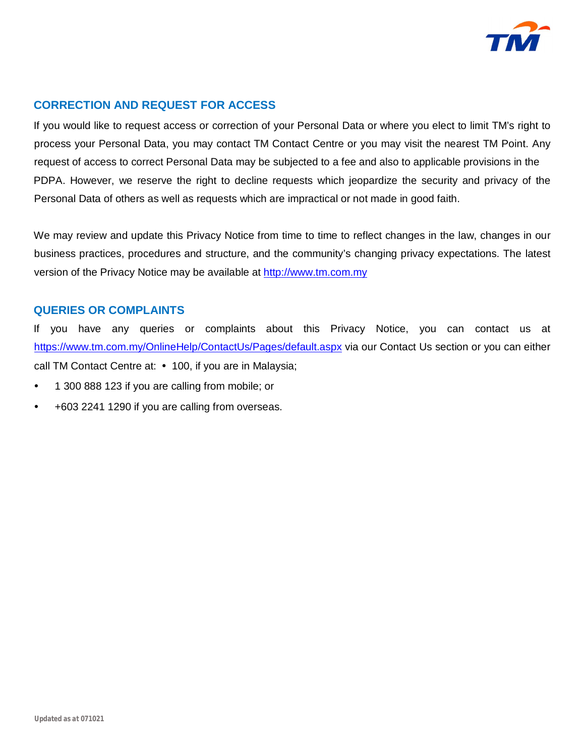

## **CORRECTION AND REQUEST FOR ACCESS**

If you would like to request access or correction of your Personal Data or where you elect to limit TM's right to process your Personal Data, you may contact TM Contact Centre or you may visit the nearest TM Point. Any request of access to correct Personal Data may be subjected to a fee and also to applicable provisions in the PDPA. However, we reserve the right to decline requests which jeopardize the security and privacy of the Personal Data of others as well as requests which are impractical or not made in good faith.

We may review and update this Privacy Notice from time to time to reflect changes in the law, changes in our business practices, procedures and structure, and the community's changing privacy expectations. The latest version of the Privacy Notice may be available at<http://www.tm.com.my>

## **QUERIES OR COMPLAINTS**

If you have any queries or complaints about this Privacy Notice, you can contact us at <https://www.tm.com.my/OnlineHelp/ContactUs/Pages/default.aspx> via our Contact Us section or you can either call TM Contact Centre at: • 100, if you are in Malaysia;

- 1 300 888 123 if you are calling from mobile; or
- +603 2241 1290 if you are calling from overseas.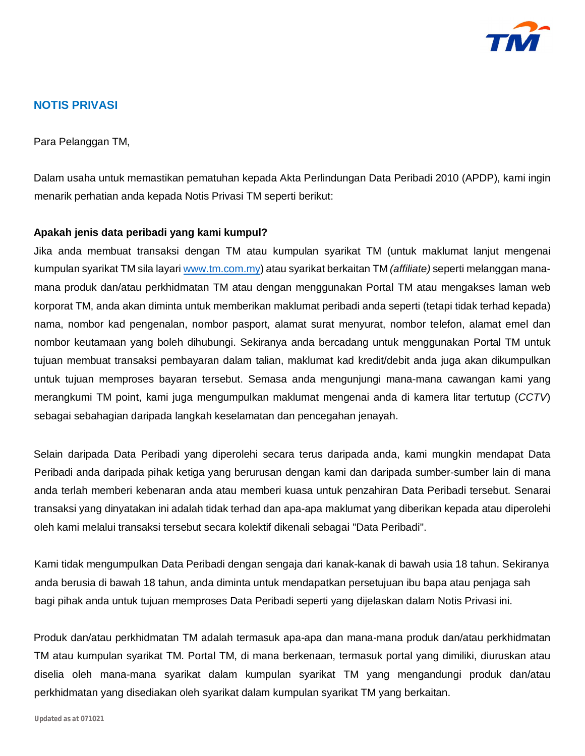

## **NOTIS PRIVASI**

Para Pelanggan TM,

Dalam usaha untuk memastikan pematuhan kepada Akta Perlindungan Data Peribadi 2010 (APDP), kami ingin menarik perhatian anda kepada Notis Privasi TM seperti berikut:

#### **Apakah jenis data peribadi yang kami kumpul?**

Jika anda membuat transaksi dengan TM atau kumpulan syarikat TM (untuk maklumat lanjut mengenai kumpulan syarikat TM sila layari [www.tm.com.my\)](http://www.tm.com.my)) atau syarikat berkaitan TM *(affiliate)* seperti melanggan manamana produk dan/atau perkhidmatan TM atau dengan menggunakan Portal TM atau mengakses laman web korporat TM, anda akan diminta untuk memberikan maklumat peribadi anda seperti (tetapi tidak terhad kepada) nama, nombor kad pengenalan, nombor pasport, alamat surat menyurat, nombor telefon, alamat emel dan nombor keutamaan yang boleh dihubungi. Sekiranya anda bercadang untuk menggunakan Portal TM untuk tujuan membuat transaksi pembayaran dalam talian, maklumat kad kredit/debit anda juga akan dikumpulkan untuk tujuan memproses bayaran tersebut. Semasa anda mengunjungi mana-mana cawangan kami yang merangkumi TM point, kami juga mengumpulkan maklumat mengenai anda di kamera litar tertutup (*CCTV*) sebagai sebahagian daripada langkah keselamatan dan pencegahan jenayah.

Selain daripada Data Peribadi yang diperolehi secara terus daripada anda, kami mungkin mendapat Data Peribadi anda daripada pihak ketiga yang berurusan dengan kami dan daripada sumber-sumber lain di mana anda terlah memberi kebenaran anda atau memberi kuasa untuk penzahiran Data Peribadi tersebut. Senarai transaksi yang dinyatakan ini adalah tidak terhad dan apa-apa maklumat yang diberikan kepada atau diperolehi oleh kami melalui transaksi tersebut secara kolektif dikenali sebagai "Data Peribadi".

Kami tidak mengumpulkan Data Peribadi dengan sengaja dari kanak-kanak di bawah usia 18 tahun. Sekiranya anda berusia di bawah 18 tahun, anda diminta untuk mendapatkan persetujuan ibu bapa atau penjaga sah bagi pihak anda untuk tujuan memproses Data Peribadi seperti yang dijelaskan dalam Notis Privasi ini.

Produk dan/atau perkhidmatan TM adalah termasuk apa-apa dan mana-mana produk dan/atau perkhidmatan TM atau kumpulan syarikat TM. Portal TM, di mana berkenaan, termasuk portal yang dimiliki, diuruskan atau diselia oleh mana-mana syarikat dalam kumpulan syarikat TM yang mengandungi produk dan/atau perkhidmatan yang disediakan oleh syarikat dalam kumpulan syarikat TM yang berkaitan.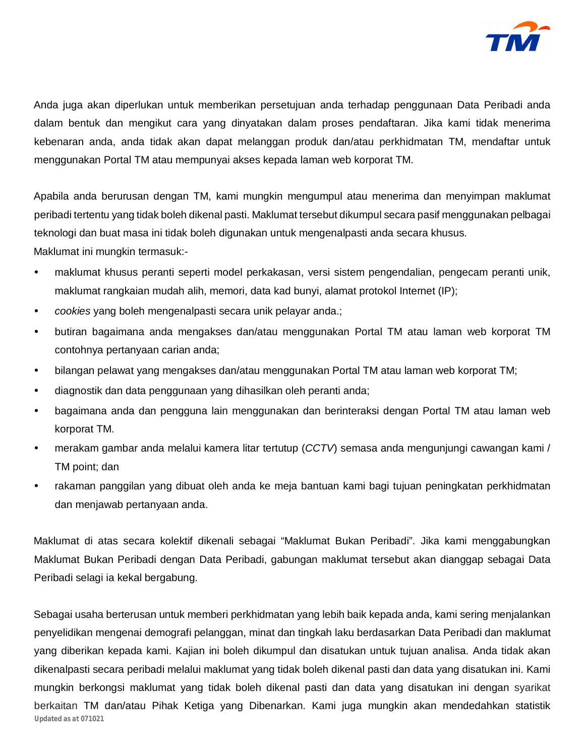

Anda juga akan diperlukan untuk memberikan persetujuan anda terhadap penggunaan Data Peribadi anda dalam bentuk dan mengikut cara yang dinyatakan dalam proses pendaftaran. Jika kami tidak menerima kebenaran anda, anda tidak akan dapat melanggan produk dan/atau perkhidmatan TM, mendaftar untuk menggunakan Portal TM atau mempunyai akses kepada laman web korporat TM.

Apabila anda berurusan dengan TM, kami mungkin mengumpul atau menerima dan menyimpan maklumat peribadi tertentu yang tidak boleh dikenal pasti. Maklumat tersebut dikumpul secara pasif menggunakan pelbagai teknologi dan buat masa ini tidak boleh digunakan untuk mengenalpasti anda secara khusus. Maklumat ini mungkin termasuk:-

- maklumat khusus peranti seperti model perkakasan, versi sistem pengendalian, pengecam peranti unik, maklumat rangkaian mudah alih, memori, data kad bunyi, alamat protokol Internet (IP);
- *cookies* yang boleh mengenalpasti secara unik pelayar anda.;
- butiran bagaimana anda mengakses dan/atau menggunakan Portal TM atau laman web korporat TM contohnya pertanyaan carian anda;
- bilangan pelawat yang mengakses dan/atau menggunakan Portal TM atau laman web korporat TM;
- diagnostik dan data penggunaan yang dihasilkan oleh peranti anda;
- bagaimana anda dan pengguna lain menggunakan dan berinteraksi dengan Portal TM atau laman web korporat TM.
- merakam gambar anda melalui kamera litar tertutup (*CCTV*) semasa anda mengunjungi cawangan kami / TM point; dan
- rakaman panggilan yang dibuat oleh anda ke meja bantuan kami bagi tujuan peningkatan perkhidmatan dan menjawab pertanyaan anda.

Maklumat di atas secara kolektif dikenali sebagai "Maklumat Bukan Peribadi". Jika kami menggabungkan Maklumat Bukan Peribadi dengan Data Peribadi, gabungan maklumat tersebut akan dianggap sebagai Data Peribadi selagi ia kekal bergabung.

*Updated as at 071021* Sebagai usaha berterusan untuk memberi perkhidmatan yang lebih baik kepada anda, kami sering menjalankan penyelidikan mengenai demografi pelanggan, minat dan tingkah laku berdasarkan Data Peribadi dan maklumat yang diberikan kepada kami. Kajian ini boleh dikumpul dan disatukan untuk tujuan analisa. Anda tidak akan dikenalpasti secara peribadi melalui maklumat yang tidak boleh dikenal pasti dan data yang disatukan ini. Kami mungkin berkongsi maklumat yang tidak boleh dikenal pasti dan data yang disatukan ini dengan syarikat berkaitan TM dan/atau Pihak Ketiga yang Dibenarkan. Kami juga mungkin akan mendedahkan statistik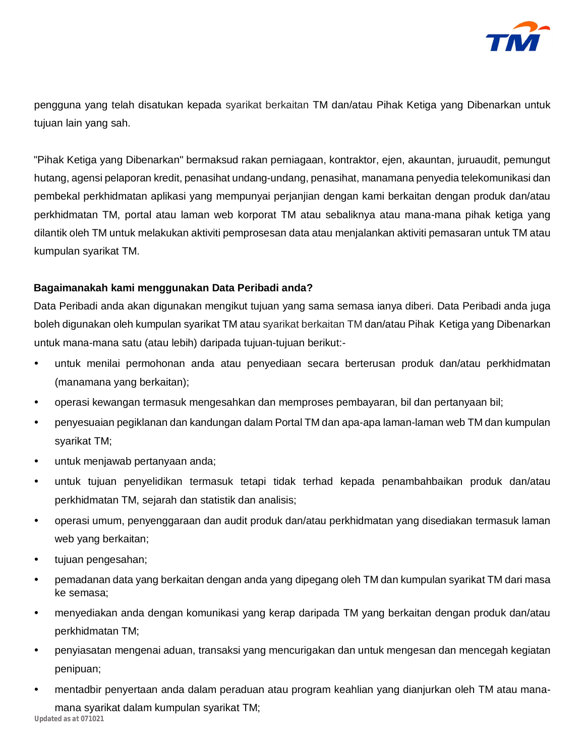

pengguna yang telah disatukan kepada syarikat berkaitan TM dan/atau Pihak Ketiga yang Dibenarkan untuk tujuan lain yang sah.

"Pihak Ketiga yang Dibenarkan" bermaksud rakan perniagaan, kontraktor, ejen, akauntan, juruaudit, pemungut hutang, agensi pelaporan kredit, penasihat undang-undang, penasihat, manamana penyedia telekomunikasi dan pembekal perkhidmatan aplikasi yang mempunyai perjanjian dengan kami berkaitan dengan produk dan/atau perkhidmatan TM, portal atau laman web korporat TM atau sebaliknya atau mana-mana pihak ketiga yang dilantik oleh TM untuk melakukan aktiviti pemprosesan data atau menjalankan aktiviti pemasaran untuk TM atau kumpulan syarikat TM.

## **Bagaimanakah kami menggunakan Data Peribadi anda?**

Data Peribadi anda akan digunakan mengikut tujuan yang sama semasa ianya diberi. Data Peribadi anda juga boleh digunakan oleh kumpulan syarikat TM atau syarikat berkaitan TM dan/atau Pihak Ketiga yang Dibenarkan untuk mana-mana satu (atau lebih) daripada tujuan-tujuan berikut:-

- untuk menilai permohonan anda atau penyediaan secara berterusan produk dan/atau perkhidmatan (manamana yang berkaitan);
- operasi kewangan termasuk mengesahkan dan memproses pembayaran, bil dan pertanyaan bil;
- penyesuaian pegiklanan dan kandungan dalam Portal TM dan apa-apa laman-laman web TM dan kumpulan syarikat TM;
- untuk menjawab pertanyaan anda;
- untuk tujuan penyelidikan termasuk tetapi tidak terhad kepada penambahbaikan produk dan/atau perkhidmatan TM, sejarah dan statistik dan analisis;
- operasi umum, penyenggaraan dan audit produk dan/atau perkhidmatan yang disediakan termasuk laman web yang berkaitan;
- tujuan pengesahan;
- pemadanan data yang berkaitan dengan anda yang dipegang oleh TM dan kumpulan syarikat TM dari masa ke semasa;
- menyediakan anda dengan komunikasi yang kerap daripada TM yang berkaitan dengan produk dan/atau perkhidmatan TM;
- penyiasatan mengenai aduan, transaksi yang mencurigakan dan untuk mengesan dan mencegah kegiatan penipuan;
- *Updated as at 071021* • mentadbir penyertaan anda dalam peraduan atau program keahlian yang dianjurkan oleh TM atau manamana syarikat dalam kumpulan syarikat TM;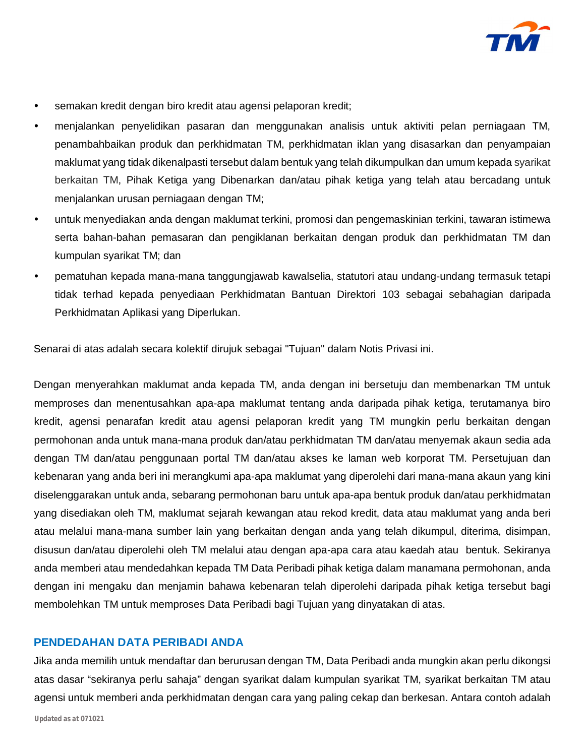

- semakan kredit dengan biro kredit atau agensi pelaporan kredit;
- menjalankan penyelidikan pasaran dan menggunakan analisis untuk aktiviti pelan perniagaan TM, penambahbaikan produk dan perkhidmatan TM, perkhidmatan iklan yang disasarkan dan penyampaian maklumat yang tidak dikenalpasti tersebut dalam bentuk yang telah dikumpulkan dan umum kepada syarikat berkaitan TM, Pihak Ketiga yang Dibenarkan dan/atau pihak ketiga yang telah atau bercadang untuk menjalankan urusan perniagaan dengan TM;
- untuk menyediakan anda dengan maklumat terkini, promosi dan pengemaskinian terkini, tawaran istimewa serta bahan-bahan pemasaran dan pengiklanan berkaitan dengan produk dan perkhidmatan TM dan kumpulan syarikat TM; dan
- pematuhan kepada mana-mana tanggungjawab kawalselia, statutori atau undang-undang termasuk tetapi tidak terhad kepada penyediaan Perkhidmatan Bantuan Direktori 103 sebagai sebahagian daripada Perkhidmatan Aplikasi yang Diperlukan.

Senarai di atas adalah secara kolektif dirujuk sebagai "Tujuan" dalam Notis Privasi ini.

Dengan menyerahkan maklumat anda kepada TM, anda dengan ini bersetuju dan membenarkan TM untuk memproses dan menentusahkan apa-apa maklumat tentang anda daripada pihak ketiga, terutamanya biro kredit, agensi penarafan kredit atau agensi pelaporan kredit yang TM mungkin perlu berkaitan dengan permohonan anda untuk mana-mana produk dan/atau perkhidmatan TM dan/atau menyemak akaun sedia ada dengan TM dan/atau penggunaan portal TM dan/atau akses ke laman web korporat TM. Persetujuan dan kebenaran yang anda beri ini merangkumi apa-apa maklumat yang diperolehi dari mana-mana akaun yang kini diselenggarakan untuk anda, sebarang permohonan baru untuk apa-apa bentuk produk dan/atau perkhidmatan yang disediakan oleh TM, maklumat sejarah kewangan atau rekod kredit, data atau maklumat yang anda beri atau melalui mana-mana sumber lain yang berkaitan dengan anda yang telah dikumpul, diterima, disimpan, disusun dan/atau diperolehi oleh TM melalui atau dengan apa-apa cara atau kaedah atau bentuk. Sekiranya anda memberi atau mendedahkan kepada TM Data Peribadi pihak ketiga dalam manamana permohonan, anda dengan ini mengaku dan menjamin bahawa kebenaran telah diperolehi daripada pihak ketiga tersebut bagi membolehkan TM untuk memproses Data Peribadi bagi Tujuan yang dinyatakan di atas.

## **PENDEDAHAN DATA PERIBADI ANDA**

Jika anda memilih untuk mendaftar dan berurusan dengan TM, Data Peribadi anda mungkin akan perlu dikongsi atas dasar "sekiranya perlu sahaja" dengan syarikat dalam kumpulan syarikat TM, syarikat berkaitan TM atau agensi untuk memberi anda perkhidmatan dengan cara yang paling cekap dan berkesan. Antara contoh adalah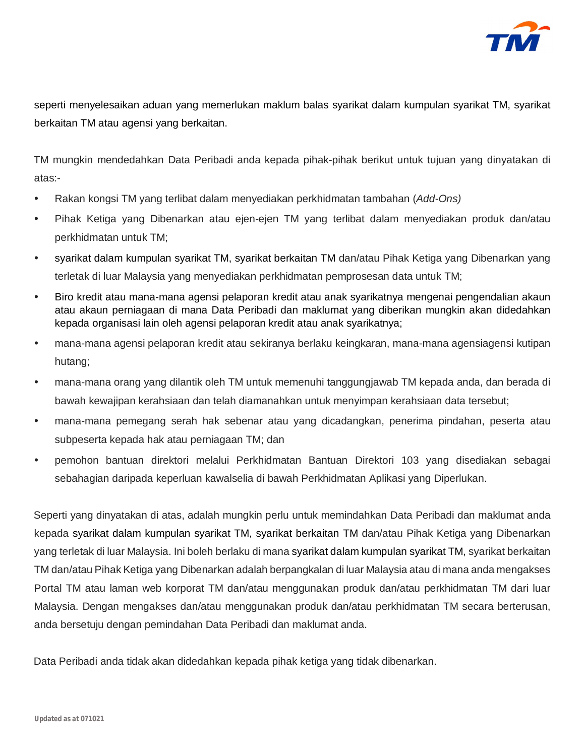

seperti menyelesaikan aduan yang memerlukan maklum balas syarikat dalam kumpulan syarikat TM, syarikat berkaitan TM atau agensi yang berkaitan.

TM mungkin mendedahkan Data Peribadi anda kepada pihak-pihak berikut untuk tujuan yang dinyatakan di atas:-

- Rakan kongsi TM yang terlibat dalam menyediakan perkhidmatan tambahan (*Add-Ons)*
- Pihak Ketiga yang Dibenarkan atau ejen-ejen TM yang terlibat dalam menyediakan produk dan/atau perkhidmatan untuk TM;
- syarikat dalam kumpulan syarikat TM, syarikat berkaitan TM dan/atau Pihak Ketiga yang Dibenarkan yang terletak di luar Malaysia yang menyediakan perkhidmatan pemprosesan data untuk TM;
- Biro kredit atau mana-mana agensi pelaporan kredit atau anak syarikatnya mengenai pengendalian akaun atau akaun perniagaan di mana Data Peribadi dan maklumat yang diberikan mungkin akan didedahkan kepada organisasi lain oleh agensi pelaporan kredit atau anak syarikatnya;
- mana-mana agensi pelaporan kredit atau sekiranya berlaku keingkaran, mana-mana agensiagensi kutipan hutang;
- mana-mana orang yang dilantik oleh TM untuk memenuhi tanggungjawab TM kepada anda, dan berada di bawah kewajipan kerahsiaan dan telah diamanahkan untuk menyimpan kerahsiaan data tersebut;
- mana-mana pemegang serah hak sebenar atau yang dicadangkan, penerima pindahan, peserta atau subpeserta kepada hak atau perniagaan TM; dan
- pemohon bantuan direktori melalui Perkhidmatan Bantuan Direktori 103 yang disediakan sebagai sebahagian daripada keperluan kawalselia di bawah Perkhidmatan Aplikasi yang Diperlukan.

Seperti yang dinyatakan di atas, adalah mungkin perlu untuk memindahkan Data Peribadi dan maklumat anda kepada syarikat dalam kumpulan syarikat TM, syarikat berkaitan TM dan/atau Pihak Ketiga yang Dibenarkan yang terletak di luar Malaysia. Ini boleh berlaku di mana syarikat dalam kumpulan syarikat TM, syarikat berkaitan TM dan/atau Pihak Ketiga yang Dibenarkan adalah berpangkalan di luar Malaysia atau di mana anda mengakses Portal TM atau laman web korporat TM dan/atau menggunakan produk dan/atau perkhidmatan TM dari luar Malaysia. Dengan mengakses dan/atau menggunakan produk dan/atau perkhidmatan TM secara berterusan, anda bersetuju dengan pemindahan Data Peribadi dan maklumat anda.

Data Peribadi anda tidak akan didedahkan kepada pihak ketiga yang tidak dibenarkan.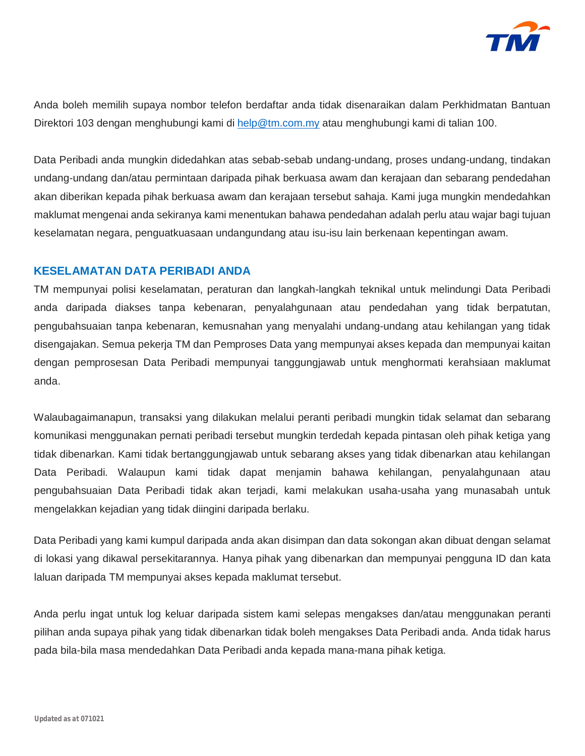

Anda boleh memilih supaya nombor telefon berdaftar anda tidak disenaraikan dalam Perkhidmatan Bantuan Direktori 103 dengan menghubungi kami di [help@tm.com.my](mailto:help@tm.com.my) atau menghubungi kami di talian 100.

Data Peribadi anda mungkin didedahkan atas sebab-sebab undang-undang, proses undang-undang, tindakan undang-undang dan/atau permintaan daripada pihak berkuasa awam dan kerajaan dan sebarang pendedahan akan diberikan kepada pihak berkuasa awam dan kerajaan tersebut sahaja. Kami juga mungkin mendedahkan maklumat mengenai anda sekiranya kami menentukan bahawa pendedahan adalah perlu atau wajar bagi tujuan keselamatan negara, penguatkuasaan undangundang atau isu-isu lain berkenaan kepentingan awam.

## **KESELAMATAN DATA PERIBADI ANDA**

TM mempunyai polisi keselamatan, peraturan dan langkah-langkah teknikal untuk melindungi Data Peribadi anda daripada diakses tanpa kebenaran, penyalahgunaan atau pendedahan yang tidak berpatutan, pengubahsuaian tanpa kebenaran, kemusnahan yang menyalahi undang-undang atau kehilangan yang tidak disengajakan. Semua pekerja TM dan Pemproses Data yang mempunyai akses kepada dan mempunyai kaitan dengan pemprosesan Data Peribadi mempunyai tanggungjawab untuk menghormati kerahsiaan maklumat anda.

Walaubagaimanapun, transaksi yang dilakukan melalui peranti peribadi mungkin tidak selamat dan sebarang komunikasi menggunakan pernati peribadi tersebut mungkin terdedah kepada pintasan oleh pihak ketiga yang tidak dibenarkan. Kami tidak bertanggungjawab untuk sebarang akses yang tidak dibenarkan atau kehilangan Data Peribadi. Walaupun kami tidak dapat menjamin bahawa kehilangan, penyalahgunaan atau pengubahsuaian Data Peribadi tidak akan terjadi, kami melakukan usaha-usaha yang munasabah untuk mengelakkan kejadian yang tidak diingini daripada berlaku.

Data Peribadi yang kami kumpul daripada anda akan disimpan dan data sokongan akan dibuat dengan selamat di lokasi yang dikawal persekitarannya. Hanya pihak yang dibenarkan dan mempunyai pengguna ID dan kata laluan daripada TM mempunyai akses kepada maklumat tersebut.

Anda perlu ingat untuk log keluar daripada sistem kami selepas mengakses dan/atau menggunakan peranti pilihan anda supaya pihak yang tidak dibenarkan tidak boleh mengakses Data Peribadi anda. Anda tidak harus pada bila-bila masa mendedahkan Data Peribadi anda kepada mana-mana pihak ketiga.